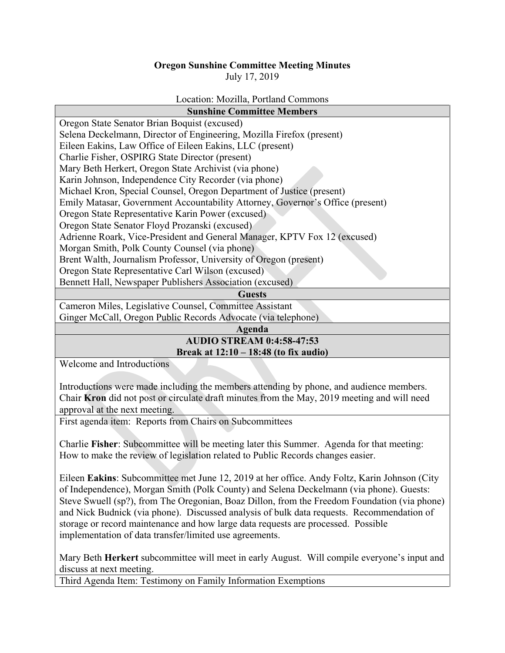## **Oregon Sunshine Committee Meeting Minutes** July 17, 2019

## Location: Mozilla, Portland Commons

| <b>Sunshine Committee Members</b>                                              |
|--------------------------------------------------------------------------------|
| Oregon State Senator Brian Boquist (excused)                                   |
| Selena Deckelmann, Director of Engineering, Mozilla Firefox (present)          |
| Eileen Eakins, Law Office of Eileen Eakins, LLC (present)                      |
| Charlie Fisher, OSPIRG State Director (present)                                |
| Mary Beth Herkert, Oregon State Archivist (via phone)                          |
| Karin Johnson, Independence City Recorder (via phone)                          |
| Michael Kron, Special Counsel, Oregon Department of Justice (present)          |
| Emily Matasar, Government Accountability Attorney, Governor's Office (present) |
| Oregon State Representative Karin Power (excused)                              |
| Oregon State Senator Floyd Prozanski (excused)                                 |
| Adrienne Roark, Vice-President and General Manager, KPTV Fox 12 (excused)      |
| Morgan Smith, Polk County Counsel (via phone)                                  |
| Brent Walth, Journalism Professor, University of Oregon (present)              |
| Oregon State Representative Carl Wilson (excused)                              |
| Bennett Hall, Newspaper Publishers Association (excused)                       |
| <b>Guests</b>                                                                  |
| Cameron Miles, Legislative Counsel, Committee Assistant                        |
| Ginger McCall, Oregon Public Records Advocate (via telephone)                  |

**Agenda** 

## **AUDIO STREAM 0:4:58-47:53 Break at 12:10 – 18:48 (to fix audio)**

Welcome and Introductions

Introductions were made including the members attending by phone, and audience members. Chair **Kron** did not post or circulate draft minutes from the May, 2019 meeting and will need approval at the next meeting.

First agenda item: Reports from Chairs on Subcommittees

Charlie **Fisher**: Subcommittee will be meeting later this Summer. Agenda for that meeting: How to make the review of legislation related to Public Records changes easier.

Eileen **Eakins**: Subcommittee met June 12, 2019 at her office. Andy Foltz, Karin Johnson (City of Independence), Morgan Smith (Polk County) and Selena Deckelmann (via phone). Guests: Steve Swuell (sp?), from The Oregonian, Boaz Dillon, from the Freedom Foundation (via phone) and Nick Budnick (via phone). Discussed analysis of bulk data requests. Recommendation of storage or record maintenance and how large data requests are processed. Possible implementation of data transfer/limited use agreements.

Mary Beth **Herkert** subcommittee will meet in early August. Will compile everyone's input and discuss at next meeting.

Third Agenda Item: Testimony on Family Information Exemptions